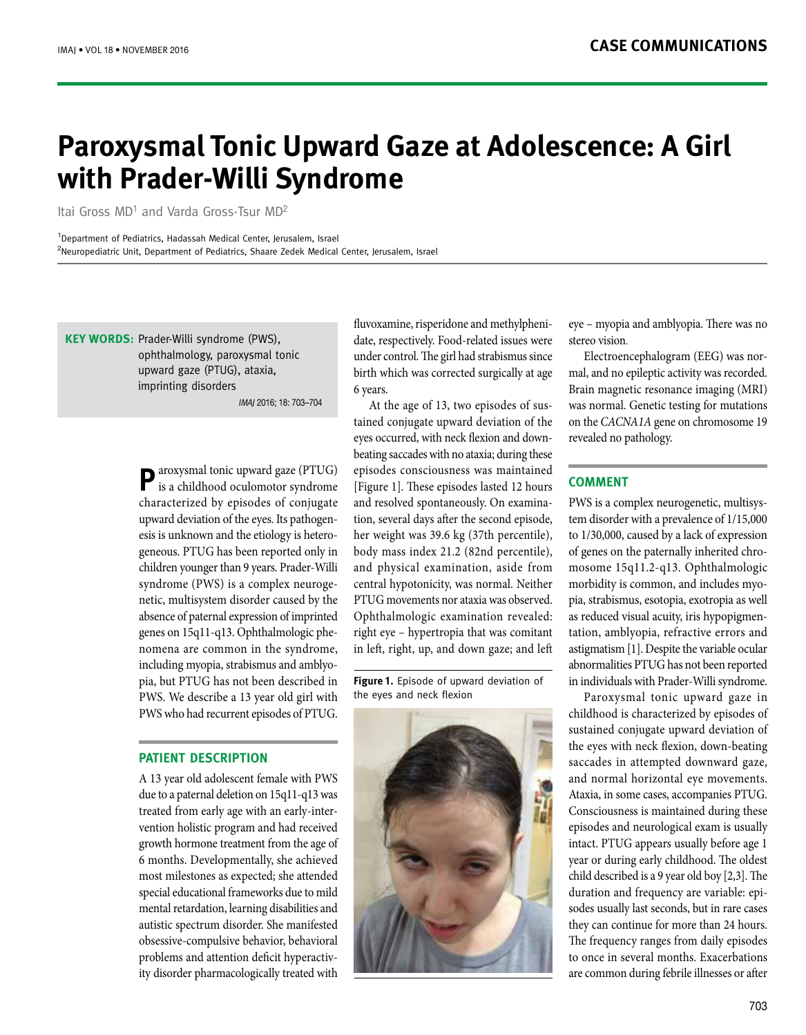# **Paroxysmal Tonic Upward Gaze at Adolescence: A Girl** with Prader-Willi Syndrome

Itai Gross MD<sup>1</sup> and Varda Gross-Tsur MD<sup>2</sup>

<sup>1</sup>Department of Pediatrics, Hadassah Medical Center, Jerusalem, Israel <sup>2</sup>Neuropediatric Unit, Department of Pediatrics, Shaare Zedek Medical Center, Jerusalem, Israel

**KEY WORDS:** Prader-Willi syndrome (PWS), ophthalmology, paroxysmal tonic upward gaze (PTUG), ataxia, imprinting disorders

IMAI 2016: 18: 703-704

**P**aroxysmal tonic upward gaze (PTUG) is a childhood oculomotor syndrome characterized by episodes of conjugate geneous. PTUG has been reported only in esis is unknown and the etiology is heteroupward deviation of the eyes. Its pathogenchildren younger than 9 years. Prader-Willi netic, multisystem disorder caused by the syndrome (PWS) is a complex neurogeabsence of paternal expression of imprinted nomena are common in the syndrome, genes on 15q11-q13. Ophthalmologic phepia, but PTUG has not been described in including myopia, strabismus and amblyo-PWS. We describe a 13 year old girl with PWS who had recurrent episodes of PTUG.

### **PATIENT DESCRIPTION**

A 13 year old adolescent female with PWS due to a paternal deletion on 15q11-q13 was vention holistic program and had received treated from early age with an early-intergrowth hormone treatment from the age of 6 months. Developmentally, she achieved most milestones as expected; she attended special educational frameworks due to mild mental retardation, learning disabilities and autistic spectrum disorder. She manifested obsessive-compulsive behavior, behavioral ity disorder pharmacologically treated with problems and attention deficit hyperactiv-

date, respectively. Food-related issues were fluvoxamine, risperidone and methylpheniunder control. The girl had strabismus since birth which was corrected surgically at age 6 years.

tained conjugate upward deviation of the At the age of 13, two episodes of susbeating saccades with no ataxia; during these eyes occurred, with neck flexion and downepisodes consciousness was maintained [Figure 1]. These episodes lasted 12 hours tion, several days after the second episode, and resolved spontaneously. On examinaher weight was 39.6 kg (37th percentile), body mass index 21.2 (82nd percentile), and physical examination, aside from central hypotonicity, was normal. Neither PTUG movements nor ataxia was observed. Ophthalmologic examination revealed: right eye – hypertropia that was comitant in left, right, up, and down gaze; and left

Figure 1. Episode of upward deviation of the eyes and neck flexion



eye – myopia and amblyopia. There was no stereo vision.

mal, and no epileptic activity was recorded. Electroencephalogram (EEG) was nor-Brain magnetic resonance imaging (MRI) was normal. Genetic testing for mutations on the CACNA<sub>1</sub>A gene on chromosome 19 revealed no pathology.

## **COMMENT**

tem disorder with a prevalence of 1/15,000 PWS is a complex neurogenetic, multisysto  $1/30,000$ , caused by a lack of expression mosome 15q11.2-q13. Ophthalmologic of genes on the paternally inherited chropia, strabismus, esotopia, exotropia as well morbidity is common, and includes myotation, amblyopia, refractive errors and as reduced visual acuity, iris hypopigmenastigmatism [1]. Despite the variable ocular abnormalities PTUG has not been reported in individuals with Prader-Willi syndrome.

Paroxysmal tonic upward gaze in childhood is characterized by episodes of sustained conjugate upward deviation of the eyes with neck flexion, down-beating saccades in attempted downward gaze, and normal horizontal eye movements. Ataxia, in some cases, accompanies PTUG. Consciousness is maintained during these episodes and neurological exam is usually intact. PTUG appears usually before age 1 year or during early childhood. The oldest child described is a 9 year old boy  $[2,3]$ . The sodes usually last seconds, but in rare cases duration and frequency are variable: epithey can continue for more than 24 hours. The frequency ranges from daily episodes to once in several months. Exacerbations are common during febrile illnesses or after